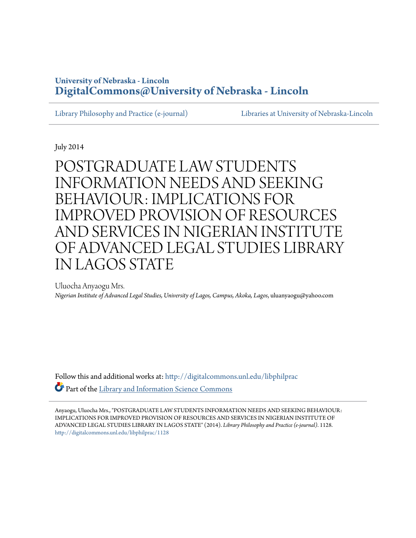# **University of Nebraska - Lincoln [DigitalCommons@University of Nebraska - Lincoln](http://digitalcommons.unl.edu?utm_source=digitalcommons.unl.edu%2Flibphilprac%2F1128&utm_medium=PDF&utm_campaign=PDFCoverPages)**

[Library Philosophy and Practice \(e-journal\)](http://digitalcommons.unl.edu/libphilprac?utm_source=digitalcommons.unl.edu%2Flibphilprac%2F1128&utm_medium=PDF&utm_campaign=PDFCoverPages) [Libraries at University of Nebraska-Lincoln](http://digitalcommons.unl.edu/libraries?utm_source=digitalcommons.unl.edu%2Flibphilprac%2F1128&utm_medium=PDF&utm_campaign=PDFCoverPages)

July 2014

POSTGRADUATE LAW STUDENTS INFORMATION NEEDS AND SEEKING BEHAVIOUR: IMPLICATIONS FOR IMPROVED PROVISION OF RESOURCES AND SERVICES IN NIGERIAN INSTITUTE OF ADVANCED LEGAL STUDIES LIBRARY IN LAGOS STATE

Uluocha Anyaogu Mrs. *Nigerian Institute of Advanced Legal Studies, University of Lagos, Campus, Akoka, Lagos*, uluanyaogu@yahoo.com

Follow this and additional works at: [http://digitalcommons.unl.edu/libphilprac](http://digitalcommons.unl.edu/libphilprac?utm_source=digitalcommons.unl.edu%2Flibphilprac%2F1128&utm_medium=PDF&utm_campaign=PDFCoverPages) Part of the [Library and Information Science Commons](http://network.bepress.com/hgg/discipline/1018?utm_source=digitalcommons.unl.edu%2Flibphilprac%2F1128&utm_medium=PDF&utm_campaign=PDFCoverPages)

Anyaogu, Uluocha Mrs., "POSTGRADUATE LAW STUDENTS INFORMATION NEEDS AND SEEKING BEHAVIOUR: IMPLICATIONS FOR IMPROVED PROVISION OF RESOURCES AND SERVICES IN NIGERIAN INSTITUTE OF ADVANCED LEGAL STUDIES LIBRARY IN LAGOS STATE" (2014). *Library Philosophy and Practice (e-journal)*. 1128. [http://digitalcommons.unl.edu/libphilprac/1128](http://digitalcommons.unl.edu/libphilprac/1128?utm_source=digitalcommons.unl.edu%2Flibphilprac%2F1128&utm_medium=PDF&utm_campaign=PDFCoverPages)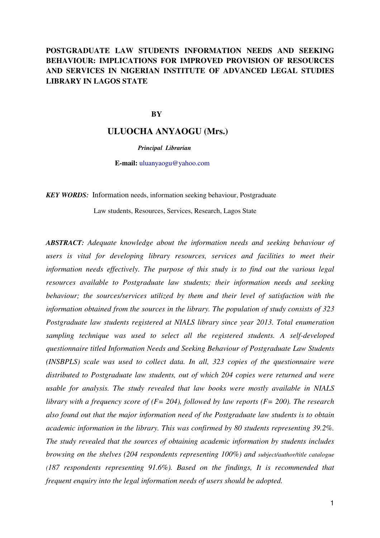# **POSTGRADUATE LAW STUDENTS INFORMATION NEEDS AND SEEKING BEHAVIOUR: IMPLICATIONS FOR IMPROVED PROVISION OF RESOURCES AND SERVICES IN NIGERIAN INSTITUTE OF ADVANCED LEGAL STUDIES LIBRARY IN LAGOS STATE**

### **BY**

## **ULUOCHA ANYAOGU (Mrs.)**

*Principal Librarian* 

**E-mail:** uluanyaogu@yahoo.com

*KEY WORDS:*Information needs, information seeking behaviour, Postgraduate

Law students, Resources, Services, Research, Lagos State

*ABSTRACT: Adequate knowledge about the information needs and seeking behaviour of users is vital for developing library resources, services and facilities to meet their information needs effectively. The purpose of this study is to find out the various legal resources available to Postgraduate law students; their information needs and seeking behaviour; the sources/services utilized by them and their level of satisfaction with the information obtained from the sources in the library. The population of study consists of 323 Postgraduate law students registered at NIALS library since year 2013. Total enumeration sampling technique was used to select all the registered students. A self-developed questionnaire titled Information Needs and Seeking Behaviour of Postgraduate Law Students (INSBPLS) scale was used to collect data. In all, 323 copies of the questionnaire were distributed to Postgraduate law students, out of which 204 copies were returned and were usable for analysis. The study revealed that law books were mostly available in NIALS library with a frequency score of (F= 204), followed by law reports (F= 200). The research also found out that the major information need of the Postgraduate law students is to obtain academic information in the library. This was confirmed by 80 students representing 39.2%. The study revealed that the sources of obtaining academic information by students includes browsing on the shelves (204 respondents representing 100%) and subject/author/title catalogue (187 respondents representing 91.6%). Based on the findings, It is recommended that frequent enquiry into the legal information needs of users should be adopted.*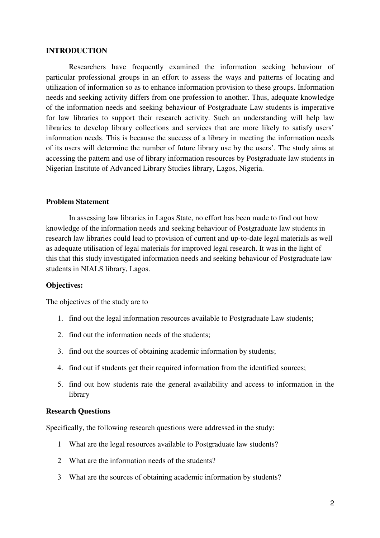### **INTRODUCTION**

Researchers have frequently examined the information seeking behaviour of particular professional groups in an effort to assess the ways and patterns of locating and utilization of information so as to enhance information provision to these groups. Information needs and seeking activity differs from one profession to another. Thus, adequate knowledge of the information needs and seeking behaviour of Postgraduate Law students is imperative for law libraries to support their research activity. Such an understanding will help law libraries to develop library collections and services that are more likely to satisfy users' information needs. This is because the success of a library in meeting the information needs of its users will determine the number of future library use by the users'. The study aims at accessing the pattern and use of library information resources by Postgraduate law students in Nigerian Institute of Advanced Library Studies library, Lagos, Nigeria.

## **Problem Statement**

In assessing law libraries in Lagos State, no effort has been made to find out how knowledge of the information needs and seeking behaviour of Postgraduate law students in research law libraries could lead to provision of current and up-to-date legal materials as well as adequate utilisation of legal materials for improved legal research. It was in the light of this that this study investigated information needs and seeking behaviour of Postgraduate law students in NIALS library, Lagos.

### **Objectives:**

The objectives of the study are to

- 1. find out the legal information resources available to Postgraduate Law students;
- 2. find out the information needs of the students;
- 3. find out the sources of obtaining academic information by students;
- 4. find out if students get their required information from the identified sources;
- 5. find out how students rate the general availability and access to information in the library

## **Research Questions**

Specifically, the following research questions were addressed in the study:

- 1 What are the legal resources available to Postgraduate law students?
- 2 What are the information needs of the students?
- 3 What are the sources of obtaining academic information by students?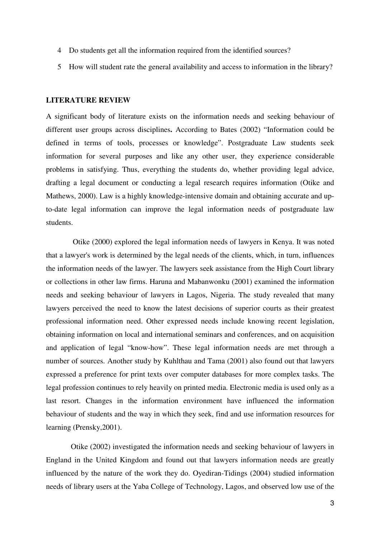- 4 Do students get all the information required from the identified sources?
- 5 How will student rate the general availability and access to information in the library?

### **LITERATURE REVIEW**

A significant body of literature exists on the information needs and seeking behaviour of different user groups across disciplines**.** According to Bates (2002) "Information could be defined in terms of tools, processes or knowledge". Postgraduate Law students seek information for several purposes and like any other user, they experience considerable problems in satisfying. Thus, everything the students do, whether providing legal advice, drafting a legal document or conducting a legal research requires information (Otike and Mathews, 2000). Law is a highly knowledge-intensive domain and obtaining accurate and upto-date legal information can improve the legal information needs of postgraduate law students.

 Otike (2000) explored the legal information needs of lawyers in Kenya. It was noted that a lawyer's work is determined by the legal needs of the clients, which, in turn, influences the information needs of the lawyer. The lawyers seek assistance from the High Court library or collections in other law firms. Haruna and Mabanwonku (2001) examined the information needs and seeking behaviour of lawyers in Lagos, Nigeria. The study revealed that many lawyers perceived the need to know the latest decisions of superior courts as their greatest professional information need. Other expressed needs include knowing recent legislation, obtaining information on local and international seminars and conferences, and on acquisition and application of legal "know-how". These legal information needs are met through a number of sources. Another study by Kuhlthau and Tama (2001) also found out that lawyers expressed a preference for print texts over computer databases for more complex tasks. The legal profession continues to rely heavily on printed media. Electronic media is used only as a last resort. Changes in the information environment have influenced the information behaviour of students and the way in which they seek, find and use information resources for learning (Prensky,2001).

 Otike (2002) investigated the information needs and seeking behaviour of lawyers in England in the United Kingdom and found out that lawyers information needs are greatly influenced by the nature of the work they do. Oyediran-Tidings (2004) studied information needs of library users at the Yaba College of Technology, Lagos, and observed low use of the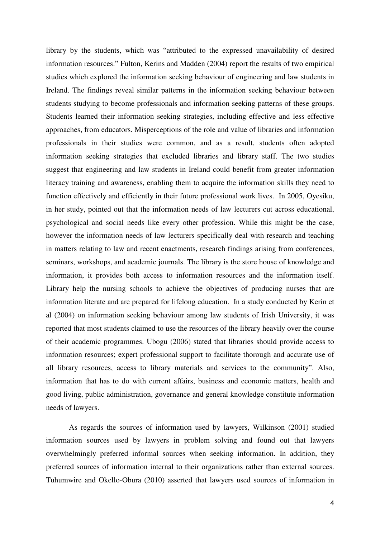library by the students, which was "attributed to the expressed unavailability of desired information resources." Fulton, Kerins and Madden (2004) report the results of two empirical studies which explored the information seeking behaviour of engineering and law students in Ireland. The findings reveal similar patterns in the information seeking behaviour between students studying to become professionals and information seeking patterns of these groups. Students learned their information seeking strategies, including effective and less effective approaches, from educators. Misperceptions of the role and value of libraries and information professionals in their studies were common, and as a result, students often adopted information seeking strategies that excluded libraries and library staff. The two studies suggest that engineering and law students in Ireland could benefit from greater information literacy training and awareness, enabling them to acquire the information skills they need to function effectively and efficiently in their future professional work lives. In 2005, Oyesiku, in her study, pointed out that the information needs of law lecturers cut across educational, psychological and social needs like every other profession. While this might be the case, however the information needs of law lecturers specifically deal with research and teaching in matters relating to law and recent enactments, research findings arising from conferences, seminars, workshops, and academic journals. The library is the store house of knowledge and information, it provides both access to information resources and the information itself. Library help the nursing schools to achieve the objectives of producing nurses that are information literate and are prepared for lifelong education. In a study conducted by Kerin et al (2004) on information seeking behaviour among law students of Irish University, it was reported that most students claimed to use the resources of the library heavily over the course of their academic programmes. Ubogu (2006) stated that libraries should provide access to information resources; expert professional support to facilitate thorough and accurate use of all library resources, access to library materials and services to the community". Also, information that has to do with current affairs, business and economic matters, health and good living, public administration, governance and general knowledge constitute information needs of lawyers.

As regards the sources of information used by lawyers, Wilkinson (2001) studied information sources used by lawyers in problem solving and found out that lawyers overwhelmingly preferred informal sources when seeking information. In addition, they preferred sources of information internal to their organizations rather than external sources. Tuhumwire and Okello-Obura (2010) asserted that lawyers used sources of information in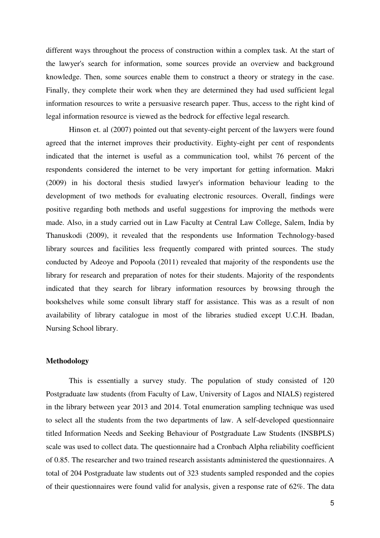different ways throughout the process of construction within a complex task. At the start of the lawyer's search for information, some sources provide an overview and background knowledge. Then, some sources enable them to construct a theory or strategy in the case. Finally, they complete their work when they are determined they had used sufficient legal information resources to write a persuasive research paper. Thus, access to the right kind of legal information resource is viewed as the bedrock for effective legal research.

Hinson et. al (2007) pointed out that seventy-eight percent of the lawyers were found agreed that the internet improves their productivity. Eighty-eight per cent of respondents indicated that the internet is useful as a communication tool, whilst 76 percent of the respondents considered the internet to be very important for getting information. Makri (2009) in his doctoral thesis studied lawyer's information behaviour leading to the development of two methods for evaluating electronic resources. Overall, findings were positive regarding both methods and useful suggestions for improving the methods were made. Also, in a study carried out in Law Faculty at Central Law College, Salem, India by Thanuskodi (2009), it revealed that the respondents use Information Technology-based library sources and facilities less frequently compared with printed sources. The study conducted by Adeoye and Popoola (2011) revealed that majority of the respondents use the library for research and preparation of notes for their students. Majority of the respondents indicated that they search for library information resources by browsing through the bookshelves while some consult library staff for assistance. This was as a result of non availability of library catalogue in most of the libraries studied except U.C.H. Ibadan, Nursing School library.

# **Methodology**

This is essentially a survey study. The population of study consisted of 120 Postgraduate law students (from Faculty of Law, University of Lagos and NIALS) registered in the library between year 2013 and 2014. Total enumeration sampling technique was used to select all the students from the two departments of law. A self-developed questionnaire titled Information Needs and Seeking Behaviour of Postgraduate Law Students (INSBPLS) scale was used to collect data. The questionnaire had a Cronbach Alpha reliability coefficient of 0.85. The researcher and two trained research assistants administered the questionnaires. A total of 204 Postgraduate law students out of 323 students sampled responded and the copies of their questionnaires were found valid for analysis, given a response rate of 62%. The data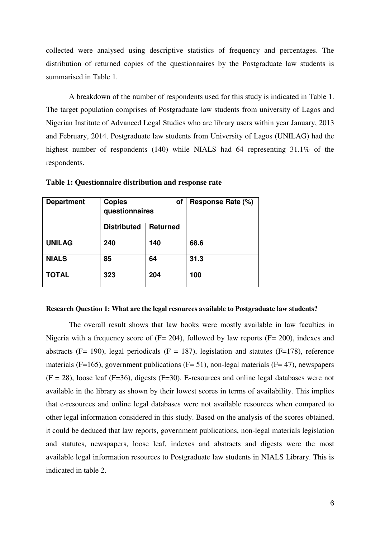collected were analysed using descriptive statistics of frequency and percentages. The distribution of returned copies of the questionnaires by the Postgraduate law students is summarised in Table 1.

A breakdown of the number of respondents used for this study is indicated in Table 1. The target population comprises of Postgraduate law students from university of Lagos and Nigerian Institute of Advanced Legal Studies who are library users within year January, 2013 and February, 2014. Postgraduate law students from University of Lagos (UNILAG) had the highest number of respondents (140) while NIALS had 64 representing 31.1% of the respondents.

| <b>Department</b> | <b>Copies</b><br>of<br>questionnaires |                 | Response Rate (%) |
|-------------------|---------------------------------------|-----------------|-------------------|
|                   | <b>Distributed</b>                    | <b>Returned</b> |                   |
| <b>UNILAG</b>     | 240                                   | 140             | 68.6              |
| <b>NIALS</b>      | 85                                    | 64              | 31.3              |
| <b>TOTAL</b>      | 323                                   | 204             | 100               |

**Table 1: Questionnaire distribution and response rate** 

#### **Research Question 1: What are the legal resources available to Postgraduate law students?**

The overall result shows that law books were mostly available in law faculties in Nigeria with a frequency score of (F= 204), followed by law reports (F= 200), indexes and abstracts (F= 190), legal periodicals (F = 187), legislation and statutes (F=178), reference materials (F=165), government publications (F= 51), non-legal materials (F= 47), newspapers  $(F = 28)$ , loose leaf  $(F = 36)$ , digests  $(F = 30)$ . E-resources and online legal databases were not available in the library as shown by their lowest scores in terms of availability. This implies that e-resources and online legal databases were not available resources when compared to other legal information considered in this study. Based on the analysis of the scores obtained, it could be deduced that law reports, government publications, non-legal materials legislation and statutes, newspapers, loose leaf, indexes and abstracts and digests were the most available legal information resources to Postgraduate law students in NIALS Library. This is indicated in table 2.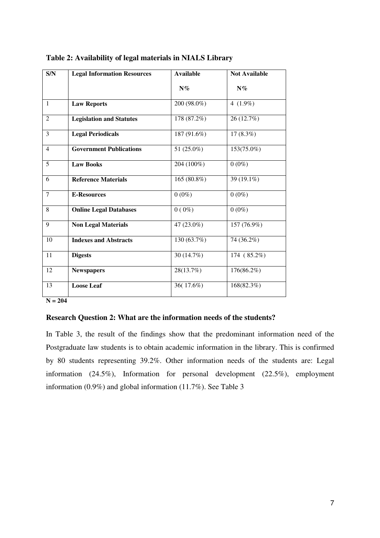| S/N            | <b>Legal Information Resources</b> | <b>Available</b> | <b>Not Available</b> |
|----------------|------------------------------------|------------------|----------------------|
|                |                                    | $N\%$            | $N\%$                |
| $\mathbf{1}$   | <b>Law Reports</b>                 | 200 (98.0%)      | 4 $(1.9\%)$          |
| $\overline{2}$ | <b>Legislation and Statutes</b>    | 178 (87.2%)      | 26 (12.7%)           |
| 3              | <b>Legal Periodicals</b>           | 187 (91.6%)      | $17(8.3\%)$          |
| $\overline{4}$ | <b>Government Publications</b>     | 51 (25.0%)       | 153(75.0%)           |
| 5              | <b>Law Books</b>                   | 204 (100%)       | $0(0\%)$             |
| 6              | <b>Reference Materials</b>         | 165 (80.8%)      | 39 (19.1%)           |
| $\tau$         | <b>E-Resources</b>                 | $0(0\%)$         | $0(0\%)$             |
| 8              | <b>Online Legal Databases</b>      | $0(0\%)$         | $0(0\%)$             |
| 9              | <b>Non Legal Materials</b>         | 47 (23.0%)       | 157 (76.9%)          |
| 10             | <b>Indexes and Abstracts</b>       | 130 (63.7%)      | 74 (36.2%)           |
| 11             | <b>Digests</b>                     | 30 (14.7%)       | 174 (85.2%)          |
| 12             | <b>Newspapers</b>                  | 28(13.7%)        | 176(86.2%)           |
| 13             | <b>Loose Leaf</b>                  | 36(17.6%)        | 168(82.3%)           |

| Table 2: Availability of legal materials in NIALS Library |  |  |  |
|-----------------------------------------------------------|--|--|--|
|-----------------------------------------------------------|--|--|--|

 $N = 204$ 

## **Research Question 2: What are the information needs of the students?**

In Table 3, the result of the findings show that the predominant information need of the Postgraduate law students is to obtain academic information in the library. This is confirmed by 80 students representing 39.2%. Other information needs of the students are: Legal information (24.5%), Information for personal development (22.5%), employment information (0.9%) and global information (11.7%). See Table 3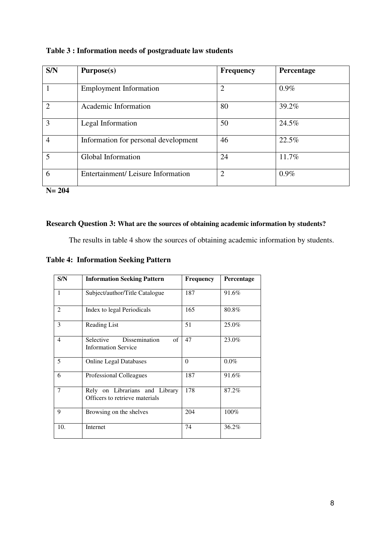| S/N                    | Purpose(s)                           | <b>Frequency</b> | Percentage |
|------------------------|--------------------------------------|------------------|------------|
|                        | <b>Employment Information</b>        | $\overline{2}$   | $0.9\%$    |
| $\mathfrak{D}_{\cdot}$ | Academic Information                 | 80               | 39.2%      |
| 3                      | Legal Information                    | 50               | 24.5%      |
| 4                      | Information for personal development | 46               | 22.5%      |
| 5                      | Global Information                   | 24               | 11.7%      |
| 6                      | Entertainment/Leisure Information    | $\overline{2}$   | $0.9\%$    |

**N= 204** 

# **Research Question 3: What are the sources of obtaining academic information by students?**

The results in table 4 show the sources of obtaining academic information by students.

**Table 4: Information Seeking Pattern** 

| S/N            | <b>Information Seeking Pattern</b>                               | Frequency | Percentage |
|----------------|------------------------------------------------------------------|-----------|------------|
| 1              | Subject/author/Title Catalogue                                   | 187       | 91.6%      |
| 2              | Index to legal Periodicals                                       | 165       | 80.8%      |
| 3              | Reading List                                                     | 51        | 25.0%      |
| $\overline{4}$ | of<br>Dissemination<br>Selective<br><b>Information Service</b>   | 47        | 23.0%      |
| 5              | <b>Online Legal Databases</b>                                    | $\theta$  | $0.0\%$    |
| 6              | Professional Colleagues                                          | 187       | 91.6%      |
| 7              | Rely on Librarians and Library<br>Officers to retrieve materials | 178       | 87.2%      |
| 9              | Browsing on the shelves                                          | 204       | 100%       |
| 10.            | Internet                                                         | 74        | 36.2%      |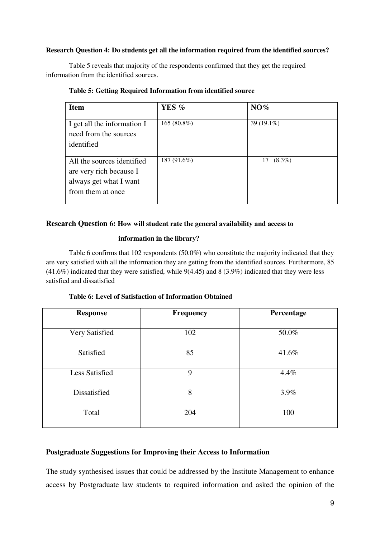### **Research Question 4: Do students get all the information required from the identified sources?**

Table 5 reveals that majority of the respondents confirmed that they get the required information from the identified sources.

| <b>Item</b>                                                                                          | YES %       | NO%             |
|------------------------------------------------------------------------------------------------------|-------------|-----------------|
| I get all the information I<br>need from the sources<br>identified                                   | 165 (80.8%) | $39(19.1\%)$    |
| All the sources identified<br>are very rich because I<br>always get what I want<br>from them at once | 187 (91.6%) | $(8.3\%)$<br>17 |

### **Table 5: Getting Required Information from identified source**

## **Research Question 6: How will student rate the general availability and access to**

## **information in the library?**

Table 6 confirms that 102 respondents (50.0%) who constitute the majority indicated that they are very satisfied with all the information they are getting from the identified sources. Furthermore, 85 (41.6%) indicated that they were satisfied, while 9(4.45) and 8 (3.9%) indicated that they were less satisfied and dissatisfied

| <b>Response</b>       | <b>Frequency</b> | Percentage |
|-----------------------|------------------|------------|
| Very Satisfied        | 102              | 50.0%      |
| Satisfied             | 85               | 41.6%      |
| <b>Less Satisfied</b> | 9                | 4.4%       |
| Dissatisfied          | 8                | 3.9%       |
| Total                 | 204              | 100        |

## **Table 6: Level of Satisfaction of Information Obtained**

# **Postgraduate Suggestions for Improving their Access to Information**

The study synthesised issues that could be addressed by the Institute Management to enhance access by Postgraduate law students to required information and asked the opinion of the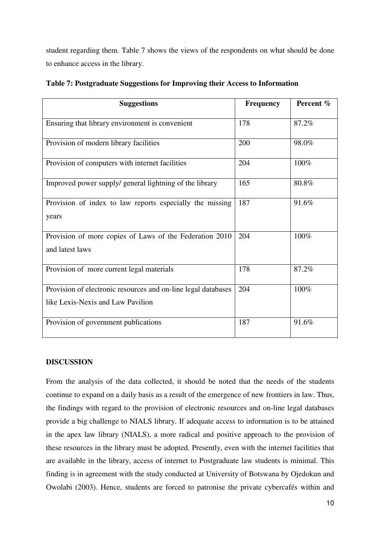student regarding them. Table 7 shows the views of the respondents on what should be done to enhance access in the library.

| <b>Suggestions</b>                                                                                 | <b>Frequency</b> | Percent % |
|----------------------------------------------------------------------------------------------------|------------------|-----------|
| Ensuring that library environment is convenient                                                    | 178              | 87.2%     |
| Provision of modern library facilities                                                             | 200              | 98.0%     |
| Provision of computers with internet facilities                                                    | 204              | 100%      |
| Improved power supply/ general lightning of the library                                            | 165              | 80.8%     |
| Provision of index to law reports especially the missing<br>years                                  | 187              | 91.6%     |
| Provision of more copies of Laws of the Federation 2010<br>and latest laws                         | 204              | 100%      |
| Provision of more current legal materials                                                          | 178              | 87.2%     |
| Provision of electronic resources and on-line legal databases<br>like Lexis-Nexis and Law Pavilion | 204              | 100%      |
| Provision of government publications                                                               | 187              | 91.6%     |

**Table 7: Postgraduate Suggestions for Improving their Access to Information** 

# **DISCUSSION**

From the analysis of the data collected, it should be noted that the needs of the students continue to expand on a daily basis as a result of the emergence of new frontiers in law. Thus, the findings with regard to the provision of electronic resources and on-line legal databases provide a big challenge to NIALS library. If adequate access to information is to be attained in the apex law library (NIALS), a more radical and positive approach to the provision of these resources in the library must be adopted. Presently, even with the internet facilities that are available in the library, access of internet to Postgraduate law students is minimal. This finding is in agreement with the study conducted at University of Botswana by Ojedokun and Owolabi (2003). Hence, students are forced to patronise the private cybercafés within and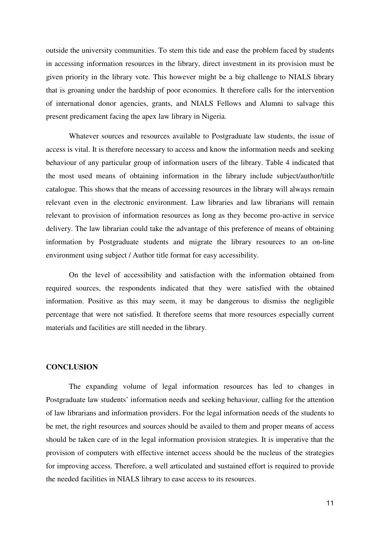outside the university communities. To stem this tide and ease the problem faced by students in accessing information resources in the library, direct investment in its provision must be given priority in the library vote. This however might be a big challenge to NIALS library that is groaning under the hardship of poor economies. It therefore calls for the intervention of international donor agencies, grants, and NIALS Fellows and Alumni to salvage this present predicament facing the apex law library in Nigeria.

 Whatever sources and resources available to Postgraduate law students, the issue of access is vital. It is therefore necessary to access and know the information needs and seeking behaviour of any particular group of information users of the library. Table 4 indicated that the most used means of obtaining information in the library include subject/author/title catalogue. This shows that the means of accessing resources in the library will always remain relevant even in the electronic environment. Law libraries and law librarians will remain relevant to provision of information resources as long as they become pro-active in service delivery. The law librarian could take the advantage of this preference of means of obtaining information by Postgraduate students and migrate the library resources to an on-line environment using subject / Author title format for easy accessibility.

 On the level of accessibility and satisfaction with the information obtained from required sources, the respondents indicated that they were satisfied with the obtained information. Positive as this may seem, it may be dangerous to dismiss the negligible percentage that were not satisfied. It therefore seems that more resources especially current materials and facilities are still needed in the library.

### **CONCLUSION**

The expanding volume of legal information resources has led to changes in Postgraduate law students' information needs and seeking behaviour, calling for the attention of law librarians and information providers. For the legal information needs of the students to be met, the right resources and sources should be availed to them and proper means of access should be taken care of in the legal information provision strategies. It is imperative that the provision of computers with effective internet access should be the nucleus of the strategies for improving access. Therefore, a well articulated and sustained effort is required to provide the needed facilities in NIALS library to ease access to its resources.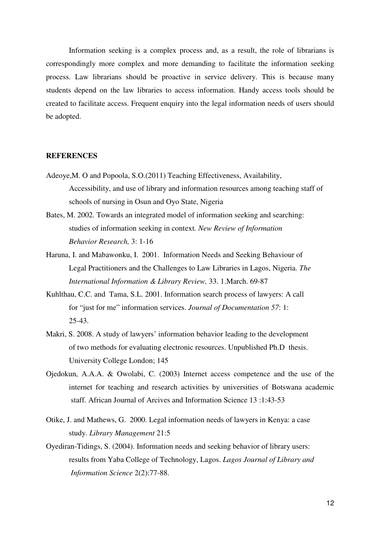Information seeking is a complex process and, as a result, the role of librarians is correspondingly more complex and more demanding to facilitate the information seeking process. Law librarians should be proactive in service delivery. This is because many students depend on the law libraries to access information. Handy access tools should be created to facilitate access. Frequent enquiry into the legal information needs of users should be adopted.

#### **REFERENCES**

- Adeoye,M. O and Popoola, S.O.(2011) Teaching Effectiveness, Availability, Accessibility, and use of library and information resources among teaching staff of schools of nursing in Osun and Oyo State, Nigeria
- Bates, M. 2002. Towards an integrated model of information seeking and searching: studies of information seeking in context*. New Review of Information Behavior Research,* 3: 1-16
- Haruna, I. and Mabawonku, I. 2001. Information Needs and Seeking Behaviour of Legal Practitioners and the Challenges to Law Libraries in Lagos, Nigeria. *The International Information & Library Review,* 33. 1.March. 69-87
- Kuhlthau, C.C. and Tama, S.L. 2001. Information search process of lawyers: A call for "just for me" information services. *Journal of Documentation 57*: 1: 25-43.
- Makri, S. 2008. A study of lawyers' information behavior leading to the development of two methods for evaluating electronic resources. Unpublished Ph.D thesis. University College London; 145
- Ojedokun, A.A.A. & Owolabi, C. (2003) Internet access competence and the use of the internet for teaching and research activities by universities of Botswana academic staff. African Journal of Arcives and Information Science 13 :1:43-53
- Otike, J. and Mathews, G. 2000. Legal information needs of lawyers in Kenya: a case study. *Library Management* 21:5
- Oyediran-Tidings, S. (2004). Information needs and seeking behavior of library users: results from Yaba College of Technology, Lagos. *Lagos Journal of Library and Information Science* 2(2):77-88.